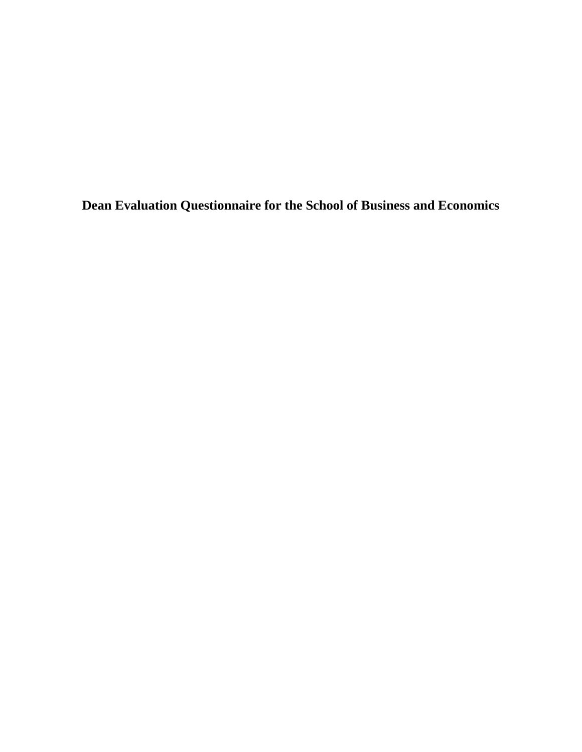**Dean Evaluation Questionnaire for the School of Business and Economics**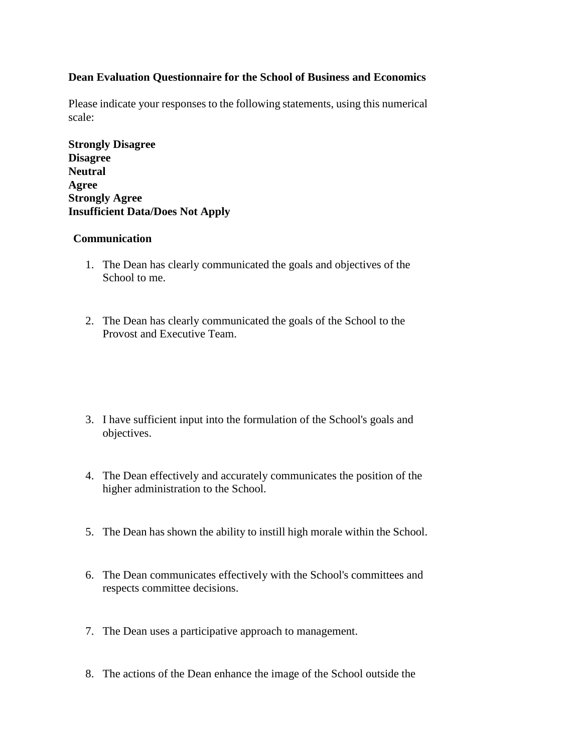## **Dean Evaluation Questionnaire for the School of Business and Economics**

Please indicate your responses to the following statements, using this numerical scale:

**Strongly Disagree Disagree Neutral Agree Strongly Agree Insufficient Data/Does Not Apply**

#### **Communication**

- 1. The Dean has clearly communicated the goals and objectives of the School to me.
- 2. The Dean has clearly communicated the goals of the School to the Provost and Executive Team.
- 3. I have sufficient input into the formulation of the School's goals and objectives.
- 4. The Dean effectively and accurately communicates the position of the higher administration to the School.
- 5. The Dean has shown the ability to instill high morale within the School.
- 6. The Dean communicates effectively with the School's committees and respects committee decisions.
- 7. The Dean uses a participative approach to management.
- 8. The actions of the Dean enhance the image of the School outside the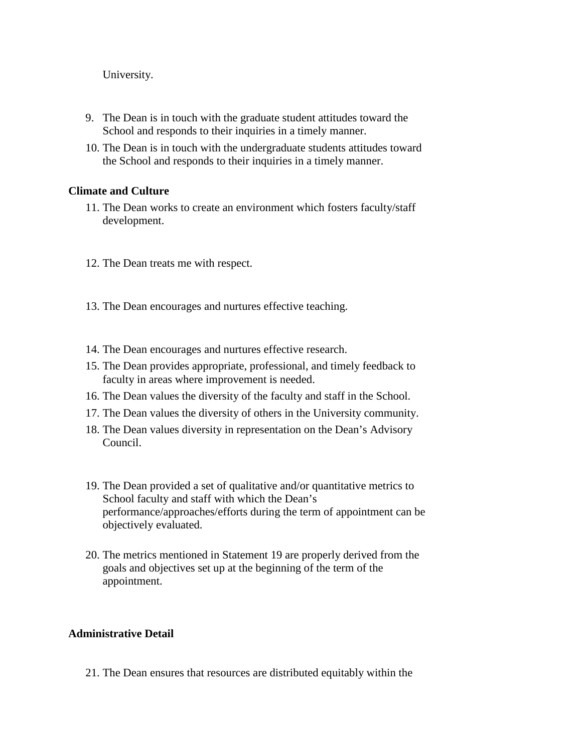University.

- 9. The Dean is in touch with the graduate student attitudes toward the School and responds to their inquiries in a timely manner.
- 10. The Dean is in touch with the undergraduate students attitudes toward the School and responds to their inquiries in a timely manner.

#### **Climate and Culture**

- 11. The Dean works to create an environment which fosters faculty/staff development.
- 12. The Dean treats me with respect.
- 13. The Dean encourages and nurtures effective teaching.
- 14. The Dean encourages and nurtures effective research.
- 15. The Dean provides appropriate, professional, and timely feedback to faculty in areas where improvement is needed.
- 16. The Dean values the diversity of the faculty and staff in the School.
- 17. The Dean values the diversity of others in the University community.
- 18. The Dean values diversity in representation on the Dean's Advisory Council.
- 19. The Dean provided a set of qualitative and/or quantitative metrics to School faculty and staff with which the Dean's performance/approaches/efforts during the term of appointment can be objectively evaluated.
- 20. The metrics mentioned in Statement 19 are properly derived from the goals and objectives set up at the beginning of the term of the appointment.

## **Administrative Detail**

21. The Dean ensures that resources are distributed equitably within the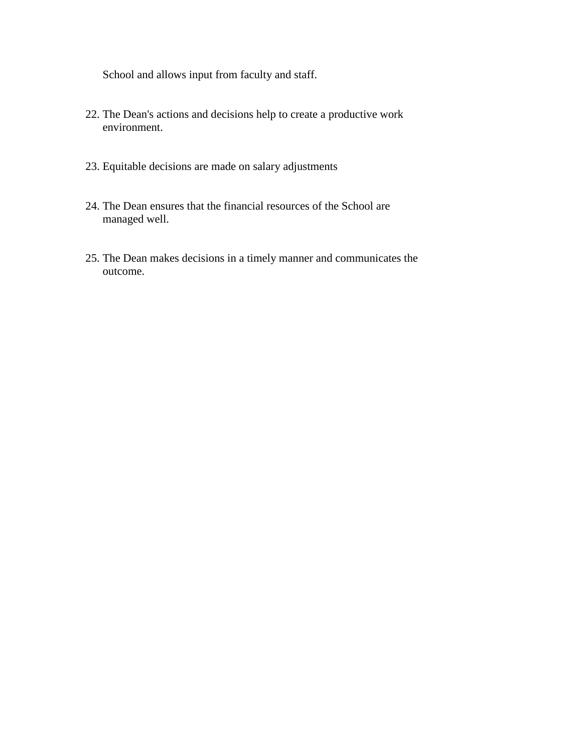School and allows input from faculty and staff.

- 22. The Dean's actions and decisions help to create a productive work environment.
- 23. Equitable decisions are made on salary adjustments
- 24. The Dean ensures that the financial resources of the School are managed well.
- 25. The Dean makes decisions in a timely manner and communicates the outcome.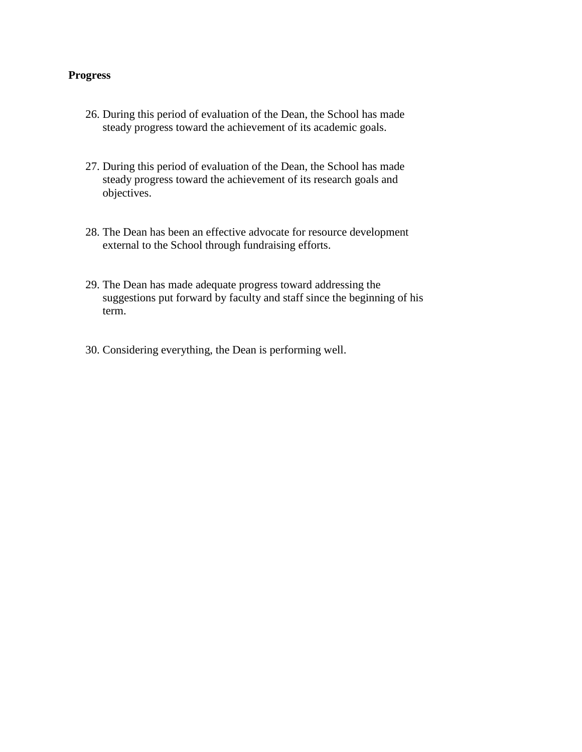## **Progress**

- 26. During this period of evaluation of the Dean, the School has made steady progress toward the achievement of its academic goals.
- 27. During this period of evaluation of the Dean, the School has made steady progress toward the achievement of its research goals and objectives.
- 28. The Dean has been an effective advocate for resource development external to the School through fundraising efforts.
- 29. The Dean has made adequate progress toward addressing the suggestions put forward by faculty and staff since the beginning of his term.
- 30. Considering everything, the Dean is performing well.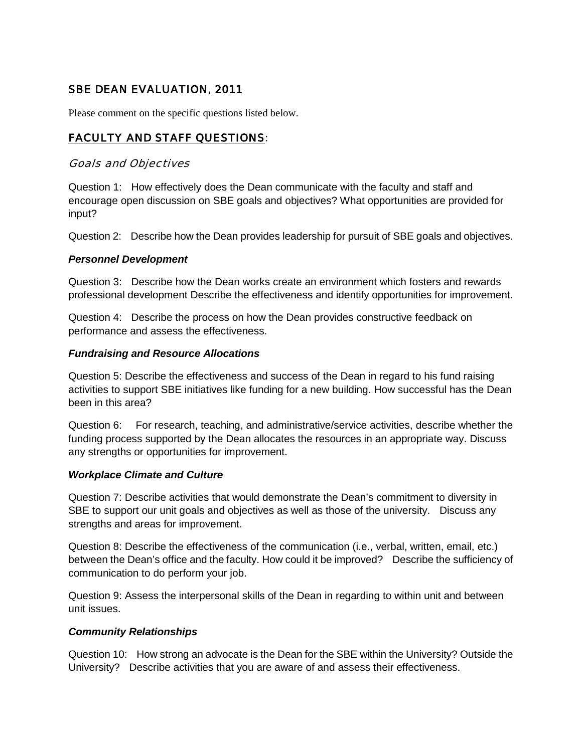# SBE DEAN EVALUATION, 2011

Please comment on the specific questions listed below.

# FACULTY AND STAFF QUESTIONS:

## Goals and Objectives

Question 1: How effectively does the Dean communicate with the faculty and staff and encourage open discussion on SBE goals and objectives? What opportunities are provided for input?

Question 2: Describe how the Dean provides leadership for pursuit of SBE goals and objectives.

#### *Personnel Development*

Question 3: Describe how the Dean works create an environment which fosters and rewards professional development Describe the effectiveness and identify opportunities for improvement.

Question 4: Describe the process on how the Dean provides constructive feedback on performance and assess the effectiveness.

#### *Fundraising and Resource Allocations*

Question 5: Describe the effectiveness and success of the Dean in regard to his fund raising activities to support SBE initiatives like funding for a new building. How successful has the Dean been in this area?

Question 6: For research, teaching, and administrative/service activities, describe whether the funding process supported by the Dean allocates the resources in an appropriate way. Discuss any strengths or opportunities for improvement.

#### *Workplace Climate and Culture*

Question 7: Describe activities that would demonstrate the Dean's commitment to diversity in SBE to support our unit goals and objectives as well as those of the university. Discuss any strengths and areas for improvement.

Question 8: Describe the effectiveness of the communication (i.e., verbal, written, email, etc.) between the Dean's office and the faculty. How could it be improved? Describe the sufficiency of communication to do perform your job.

Question 9: Assess the interpersonal skills of the Dean in regarding to within unit and between unit issues.

# *Community Relationships*

Question 10: How strong an advocate is the Dean for the SBE within the University? Outside the University? Describe activities that you are aware of and assess their effectiveness.